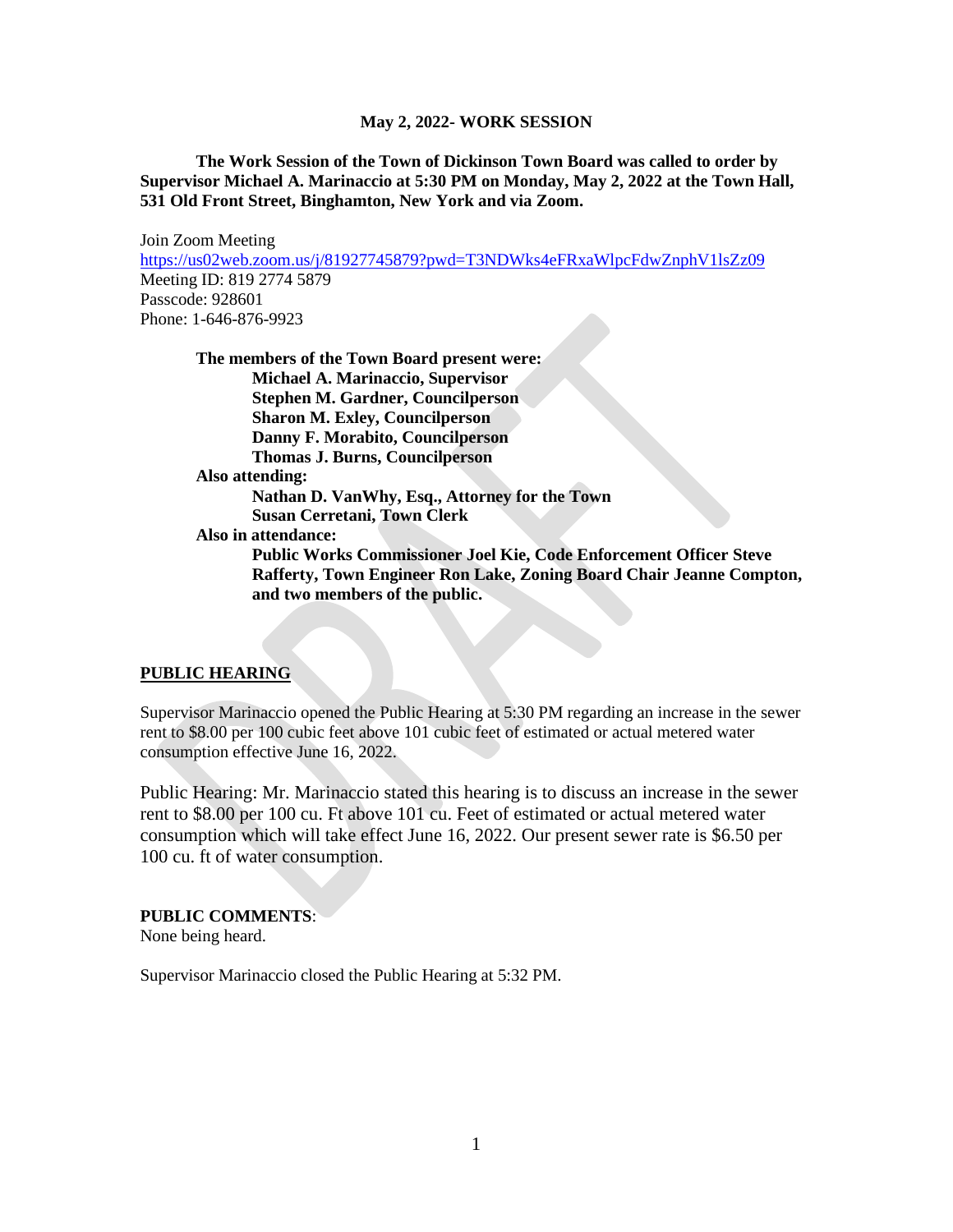**The Work Session of the Town of Dickinson Town Board was called to order by Supervisor Michael A. Marinaccio at 5:30 PM on Monday, May 2, 2022 at the Town Hall, 531 Old Front Street, Binghamton, New York and via Zoom.**

Join Zoom Meeting <https://us02web.zoom.us/j/81927745879?pwd=T3NDWks4eFRxaWlpcFdwZnphV1lsZz09> Meeting ID: 819 2774 5879 Passcode: 928601 Phone: 1-646-876-9923

|                 | The members of the Town Board present were:                          |
|-----------------|----------------------------------------------------------------------|
|                 | <b>Michael A. Marinaccio, Supervisor</b>                             |
|                 | <b>Stephen M. Gardner, Councilperson</b>                             |
|                 | <b>Sharon M. Exley, Councilperson</b>                                |
|                 | Danny F. Morabito, Councilperson                                     |
|                 | <b>Thomas J. Burns, Councilperson</b>                                |
| Also attending: |                                                                      |
|                 | Nathan D. VanWhy, Esq., Attorney for the Town                        |
|                 | <b>Susan Cerretani, Town Clerk</b>                                   |
|                 | Also in attendance:                                                  |
|                 | Public Works Commissioner Joel Kie, Code Enforcement Officer Steve   |
|                 | Rafferty, Town Engineer Ron Lake, Zoning Board Chair Jeanne Compton, |
|                 | and two members of the public.                                       |

#### **PUBLIC HEARING**

Supervisor Marinaccio opened the Public Hearing at 5:30 PM regarding an increase in the sewer rent to \$8.00 per 100 cubic feet above 101 cubic feet of estimated or actual metered water consumption effective June 16, 2022.

Public Hearing: Mr. Marinaccio stated this hearing is to discuss an increase in the sewer rent to \$8.00 per 100 cu. Ft above 101 cu. Feet of estimated or actual metered water consumption which will take effect June 16, 2022. Our present sewer rate is \$6.50 per 100 cu. ft of water consumption.

#### **PUBLIC COMMENTS**:

None being heard.

Supervisor Marinaccio closed the Public Hearing at 5:32 PM.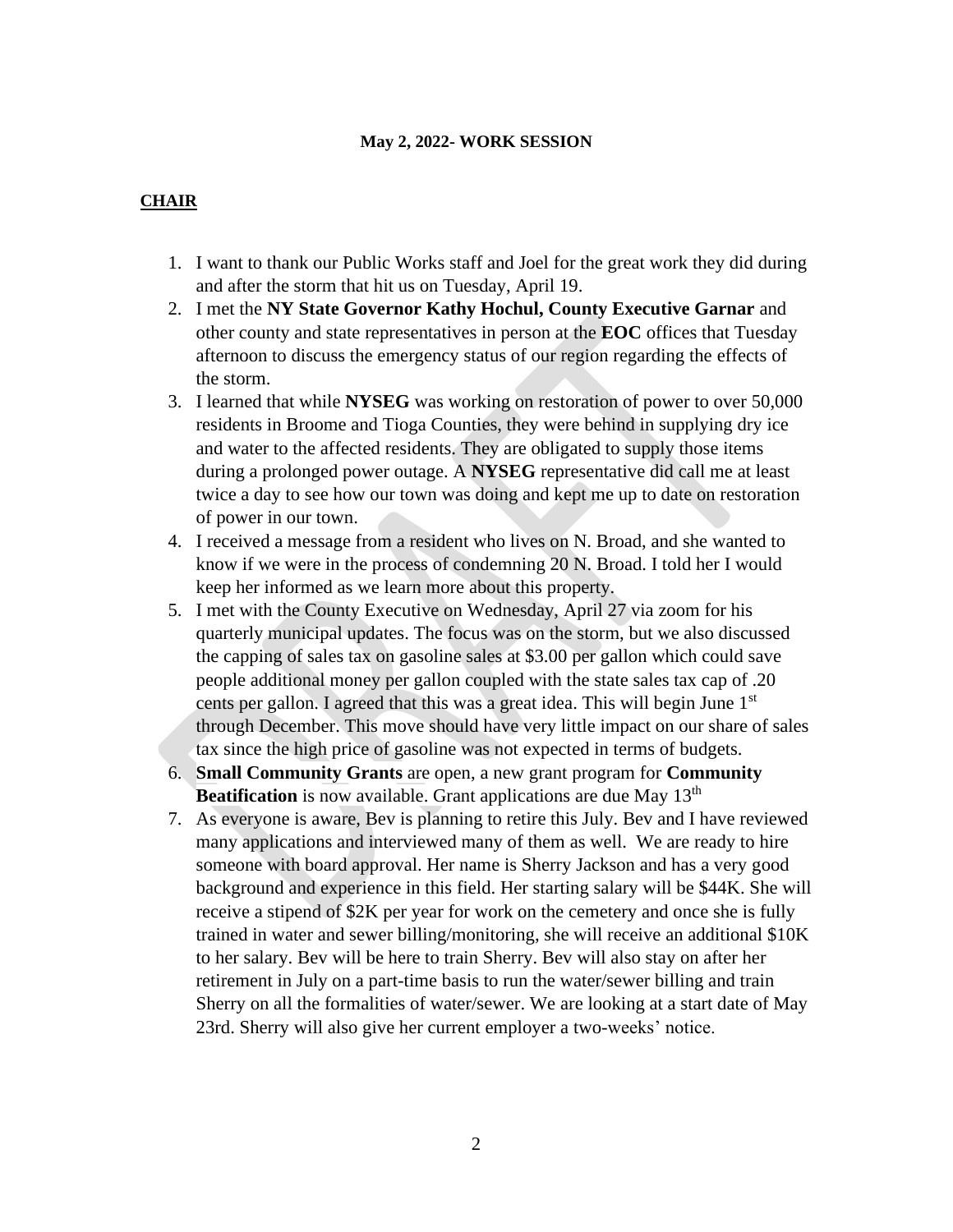# **CHAIR**

- 1. I want to thank our Public Works staff and Joel for the great work they did during and after the storm that hit us on Tuesday, April 19.
- 2. I met the **NY State Governor Kathy Hochul, County Executive Garnar** and other county and state representatives in person at the **EOC** offices that Tuesday afternoon to discuss the emergency status of our region regarding the effects of the storm.
- 3. I learned that while **NYSEG** was working on restoration of power to over 50,000 residents in Broome and Tioga Counties, they were behind in supplying dry ice and water to the affected residents. They are obligated to supply those items during a prolonged power outage. A **NYSEG** representative did call me at least twice a day to see how our town was doing and kept me up to date on restoration of power in our town.
- 4. I received a message from a resident who lives on N. Broad, and she wanted to know if we were in the process of condemning 20 N. Broad. I told her I would keep her informed as we learn more about this property.
- 5. I met with the County Executive on Wednesday, April 27 via zoom for his quarterly municipal updates. The focus was on the storm, but we also discussed the capping of sales tax on gasoline sales at \$3.00 per gallon which could save people additional money per gallon coupled with the state sales tax cap of .20 cents per gallon. I agreed that this was a great idea. This will begin June 1<sup>st</sup> through December. This move should have very little impact on our share of sales tax since the high price of gasoline was not expected in terms of budgets.
- 6. **Small Community Grants** are open, a new grant program for **Community Beatification** is now available. Grant applications are due May 13<sup>th</sup>
- 7. As everyone is aware, Bev is planning to retire this July. Bev and I have reviewed many applications and interviewed many of them as well. We are ready to hire someone with board approval. Her name is Sherry Jackson and has a very good background and experience in this field. Her starting salary will be \$44K. She will receive a stipend of \$2K per year for work on the cemetery and once she is fully trained in water and sewer billing/monitoring, she will receive an additional \$10K to her salary. Bev will be here to train Sherry. Bev will also stay on after her retirement in July on a part-time basis to run the water/sewer billing and train Sherry on all the formalities of water/sewer. We are looking at a start date of May 23rd. Sherry will also give her current employer a two-weeks' notice.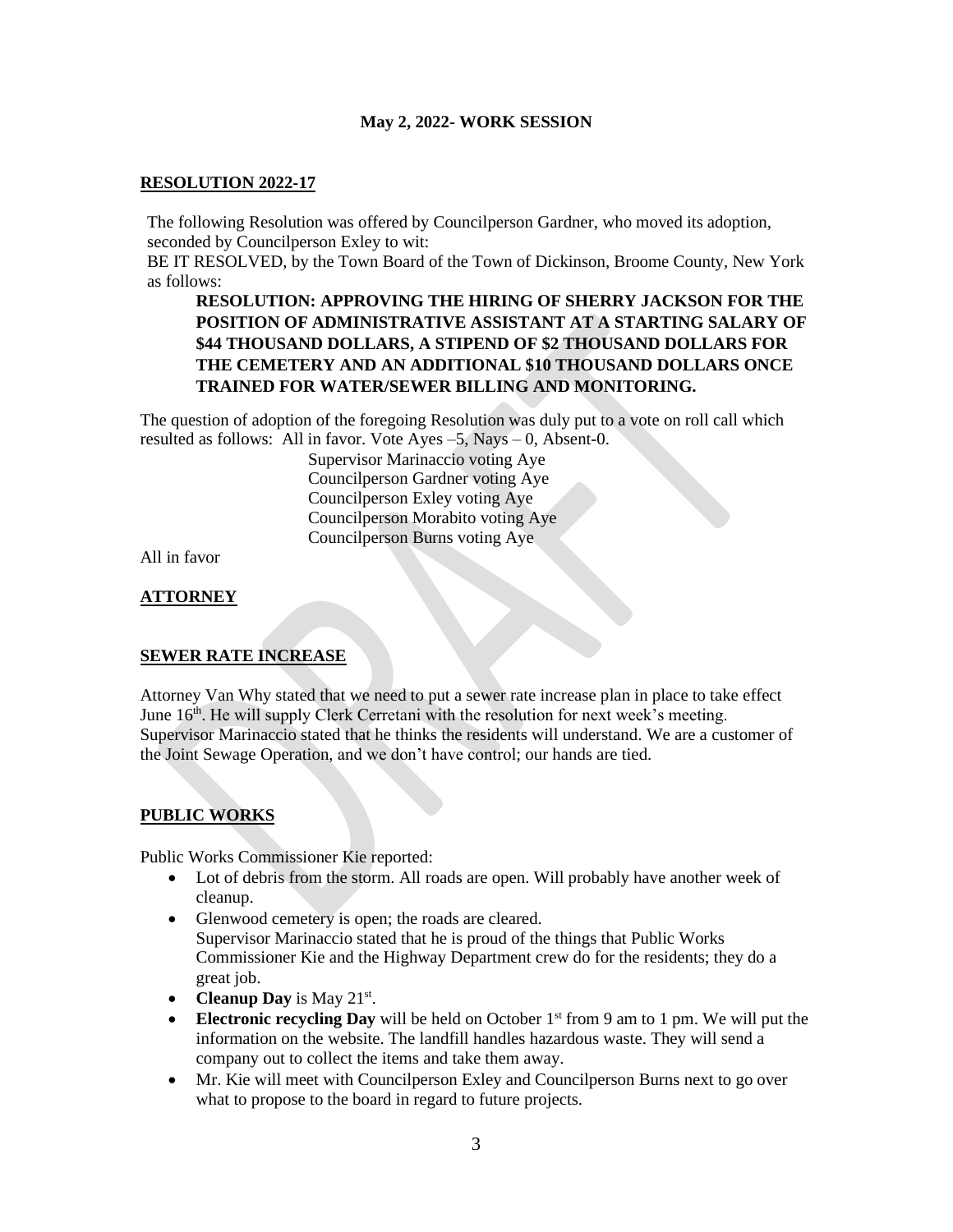### **RESOLUTION 2022-17**

The following Resolution was offered by Councilperson Gardner, who moved its adoption, seconded by Councilperson Exley to wit:

BE IT RESOLVED, by the Town Board of the Town of Dickinson, Broome County, New York as follows:

## **RESOLUTION: APPROVING THE HIRING OF SHERRY JACKSON FOR THE POSITION OF ADMINISTRATIVE ASSISTANT AT A STARTING SALARY OF \$44 THOUSAND DOLLARS, A STIPEND OF \$2 THOUSAND DOLLARS FOR THE CEMETERY AND AN ADDITIONAL \$10 THOUSAND DOLLARS ONCE TRAINED FOR WATER/SEWER BILLING AND MONITORING.**

The question of adoption of the foregoing Resolution was duly put to a vote on roll call which resulted as follows: All in favor. Vote Ayes  $-5$ , Nays  $-0$ , Absent-0.

Supervisor Marinaccio voting Aye Councilperson Gardner voting Aye Councilperson Exley voting Aye Councilperson Morabito voting Aye Councilperson Burns voting Aye

All in favor

### **ATTORNEY**

#### **SEWER RATE INCREASE**

Attorney Van Why stated that we need to put a sewer rate increase plan in place to take effect June 16<sup>th</sup>. He will supply Clerk Cerretani with the resolution for next week's meeting. Supervisor Marinaccio stated that he thinks the residents will understand. We are a customer of the Joint Sewage Operation, and we don't have control; our hands are tied.

### **PUBLIC WORKS**

Public Works Commissioner Kie reported:

- Lot of debris from the storm. All roads are open. Will probably have another week of cleanup.
- Glenwood cemetery is open; the roads are cleared. Supervisor Marinaccio stated that he is proud of the things that Public Works Commissioner Kie and the Highway Department crew do for the residents; they do a great job.
- **Cleanup Day** is May 21<sup>st</sup>.
- **Electronic recycling Day** will be held on October 1<sup>st</sup> from 9 am to 1 pm. We will put the information on the website. The landfill handles hazardous waste. They will send a company out to collect the items and take them away.
- Mr. Kie will meet with Councilperson Exley and Councilperson Burns next to go over what to propose to the board in regard to future projects.